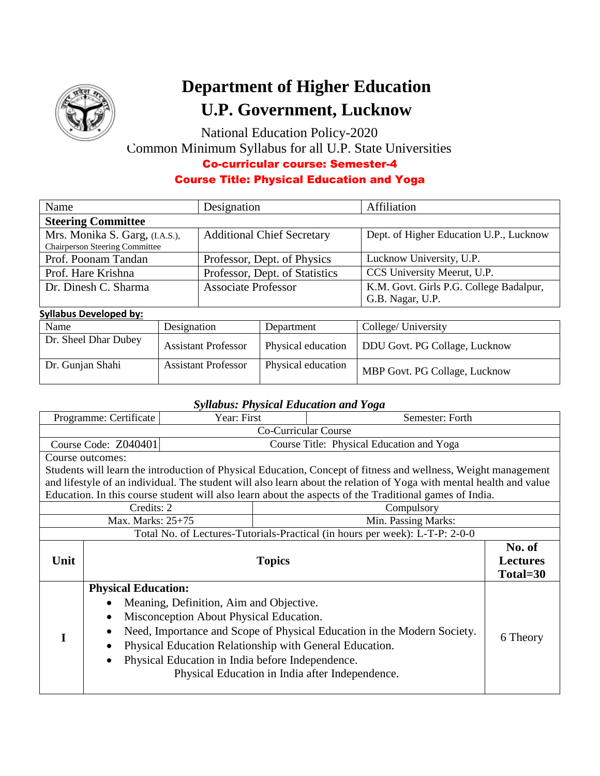

# **Department of Higher Education U.P. Government, Lucknow**

National Education Policy-2020 Common Minimum Syllabus for all U.P. State Universities Co-curricular course: Semester-4

## Course Title: Physical Education and Yoga

| Name                                  | Designation                       | Affiliation                             |  |
|---------------------------------------|-----------------------------------|-----------------------------------------|--|
| <b>Steering Committee</b>             |                                   |                                         |  |
| Mrs. Monika S. Garg, (I.A.S.),        | <b>Additional Chief Secretary</b> | Dept. of Higher Education U.P., Lucknow |  |
| <b>Chairperson Steering Committee</b> |                                   |                                         |  |
| Prof. Poonam Tandan                   | Professor, Dept. of Physics       | Lucknow University, U.P.                |  |
| Prof. Hare Krishna                    | Professor, Dept. of Statistics    | CCS University Meerut, U.P.             |  |
| Dr. Dinesh C. Sharma                  | <b>Associate Professor</b>        | K.M. Govt. Girls P.G. College Badalpur, |  |
|                                       |                                   | G.B. Nagar, U.P.                        |  |

#### **Syllabus Developed by:**

| Name                 | Designation                | Department         | College/ University           |  |  |  |
|----------------------|----------------------------|--------------------|-------------------------------|--|--|--|
| Dr. Sheel Dhar Dubey | <b>Assistant Professor</b> | Physical education | DDU Govt. PG Collage, Lucknow |  |  |  |
| Dr. Gunjan Shahi     | <b>Assistant Professor</b> | Physical education | MBP Govt. PG Collage, Lucknow |  |  |  |

#### *Syllabus: Physical Education and Yoga*

| Year: First<br>Programme: Certificate                                                                               |                                                                         | Semester: Forth |                 |                                                                                                        |          |
|---------------------------------------------------------------------------------------------------------------------|-------------------------------------------------------------------------|-----------------|-----------------|--------------------------------------------------------------------------------------------------------|----------|
|                                                                                                                     | Co-Curricular Course                                                    |                 |                 |                                                                                                        |          |
|                                                                                                                     | Course Code: Z040401<br>Course Title: Physical Education and Yoga       |                 |                 |                                                                                                        |          |
| Course outcomes:                                                                                                    |                                                                         |                 |                 |                                                                                                        |          |
| Students will learn the introduction of Physical Education, Concept of fitness and wellness, Weight management      |                                                                         |                 |                 |                                                                                                        |          |
| and lifestyle of an individual. The student will also learn about the relation of Yoga with mental health and value |                                                                         |                 |                 |                                                                                                        |          |
|                                                                                                                     |                                                                         |                 |                 | Education. In this course student will also learn about the aspects of the Traditional games of India. |          |
|                                                                                                                     | Credits: 2<br>Compulsory                                                |                 |                 |                                                                                                        |          |
| Max. Marks: 25+75<br>Min. Passing Marks:                                                                            |                                                                         |                 |                 |                                                                                                        |          |
|                                                                                                                     |                                                                         |                 |                 | Total No. of Lectures-Tutorials-Practical (in hours per week): L-T-P: 2-0-0                            |          |
|                                                                                                                     |                                                                         |                 |                 | No. of                                                                                                 |          |
| Unit                                                                                                                | <b>Topics</b>                                                           |                 | <b>Lectures</b> |                                                                                                        |          |
|                                                                                                                     |                                                                         |                 |                 |                                                                                                        | Total=30 |
|                                                                                                                     | <b>Physical Education:</b>                                              |                 |                 |                                                                                                        |          |
|                                                                                                                     | Meaning, Definition, Aim and Objective.                                 |                 |                 |                                                                                                        |          |
|                                                                                                                     | Misconception About Physical Education.                                 |                 |                 |                                                                                                        |          |
|                                                                                                                     | Need, Importance and Scope of Physical Education in the Modern Society. |                 |                 |                                                                                                        |          |
|                                                                                                                     |                                                                         |                 | 6 Theory        |                                                                                                        |          |
|                                                                                                                     | Physical Education Relationship with General Education.                 |                 |                 |                                                                                                        |          |
|                                                                                                                     | Physical Education in India before Independence.                        |                 |                 |                                                                                                        |          |
|                                                                                                                     |                                                                         |                 |                 | Physical Education in India after Independence.                                                        |          |
|                                                                                                                     |                                                                         |                 |                 |                                                                                                        |          |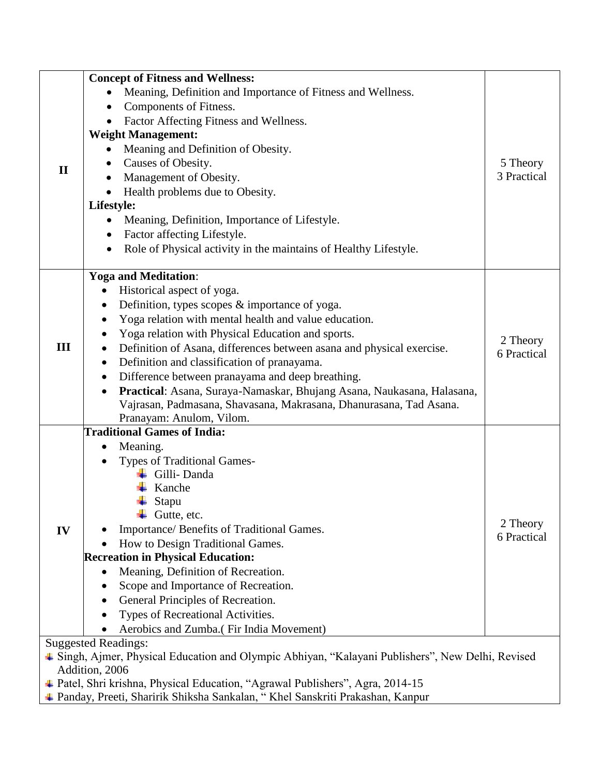|                                          | <b>Concept of Fitness and Wellness:</b>                                                           |             |  |  |
|------------------------------------------|---------------------------------------------------------------------------------------------------|-------------|--|--|
|                                          | Meaning, Definition and Importance of Fitness and Wellness.                                       |             |  |  |
|                                          | Components of Fitness.                                                                            |             |  |  |
|                                          | Factor Affecting Fitness and Wellness.                                                            |             |  |  |
|                                          | <b>Weight Management:</b>                                                                         |             |  |  |
|                                          | Meaning and Definition of Obesity.                                                                |             |  |  |
| $\mathbf{I}$                             | Causes of Obesity.                                                                                | 5 Theory    |  |  |
|                                          | Management of Obesity.                                                                            | 3 Practical |  |  |
|                                          | Health problems due to Obesity.                                                                   |             |  |  |
|                                          | Lifestyle:                                                                                        |             |  |  |
|                                          | Meaning, Definition, Importance of Lifestyle.<br>$\bullet$                                        |             |  |  |
|                                          | Factor affecting Lifestyle.                                                                       |             |  |  |
|                                          | Role of Physical activity in the maintains of Healthy Lifestyle.                                  |             |  |  |
|                                          | <b>Yoga and Meditation:</b>                                                                       |             |  |  |
|                                          | Historical aspect of yoga.<br>$\bullet$                                                           |             |  |  |
|                                          | Definition, types scopes $\&$ importance of yoga.<br>$\bullet$                                    |             |  |  |
|                                          | Yoga relation with mental health and value education.<br>$\bullet$                                |             |  |  |
|                                          | Yoga relation with Physical Education and sports.<br>$\bullet$                                    | 2 Theory    |  |  |
| III                                      | Definition of Asana, differences between asana and physical exercise.<br>$\bullet$                | 6 Practical |  |  |
|                                          | Definition and classification of pranayama.<br>$\bullet$                                          |             |  |  |
|                                          | Difference between pranayama and deep breathing.<br>$\bullet$                                     |             |  |  |
|                                          | Practical: Asana, Suraya-Namaskar, Bhujang Asana, Naukasana, Halasana,<br>$\bullet$               |             |  |  |
|                                          | Vajrasan, Padmasana, Shavasana, Makrasana, Dhanurasana, Tad Asana.                                |             |  |  |
|                                          | Pranayam: Anulom, Vilom.                                                                          |             |  |  |
|                                          | <b>Traditional Games of India:</b>                                                                |             |  |  |
|                                          | Meaning.<br>$\bullet$                                                                             |             |  |  |
|                                          | <b>Types of Traditional Games-</b><br>$\bullet$                                                   |             |  |  |
|                                          | $\overline{\phantom{a}}$ Gilli-Danda                                                              |             |  |  |
|                                          | Kanche                                                                                            |             |  |  |
|                                          | Stapu<br>$\blacksquare$ Gutte, etc.                                                               |             |  |  |
| IV                                       | Importance/ Benefits of Traditional Games.                                                        | 2 Theory    |  |  |
|                                          | How to Design Traditional Games.                                                                  | 6 Practical |  |  |
| <b>Recreation in Physical Education:</b> |                                                                                                   |             |  |  |
|                                          | Meaning, Definition of Recreation.<br>٠                                                           |             |  |  |
|                                          | Scope and Importance of Recreation.                                                               |             |  |  |
|                                          | General Principles of Recreation.                                                                 |             |  |  |
|                                          | Types of Recreational Activities.                                                                 |             |  |  |
|                                          | Aerobics and Zumba.(Fir India Movement)                                                           |             |  |  |
| <b>Suggested Readings:</b>               |                                                                                                   |             |  |  |
|                                          | ↓ Singh, Ajmer, Physical Education and Olympic Abhiyan, "Kalayani Publishers", New Delhi, Revised |             |  |  |
|                                          | Addition, 2006                                                                                    |             |  |  |
|                                          | ↓ Patel, Shri krishna, Physical Education, "Agrawal Publishers", Agra, 2014-15                    |             |  |  |
|                                          | + Panday, Preeti, Sharirik Shiksha Sankalan, "Khel Sanskriti Prakashan, Kanpur                    |             |  |  |